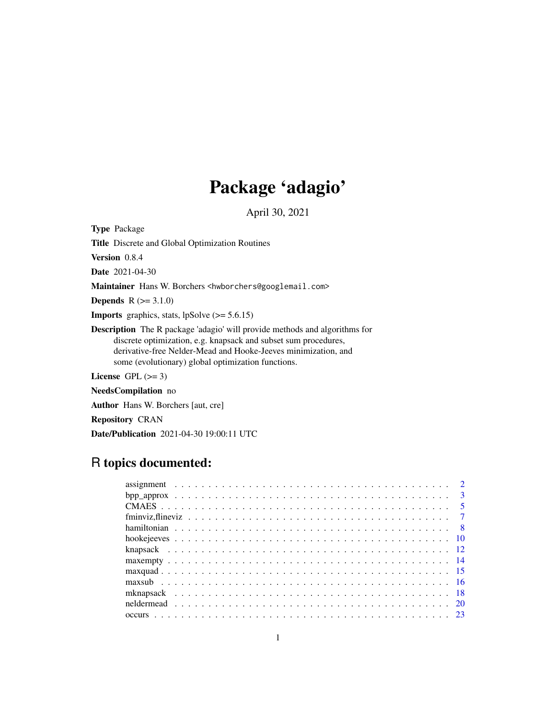# Package 'adagio'

April 30, 2021

Type Package

Title Discrete and Global Optimization Routines

Version 0.8.4

Date 2021-04-30

Maintainer Hans W. Borchers <hwborchers@googlemail.com>

**Depends**  $R (= 3.1.0)$ 

**Imports** graphics, stats,  $lpSolve (= 5.6.15)$ 

Description The R package 'adagio' will provide methods and algorithms for discrete optimization, e.g. knapsack and subset sum procedures, derivative-free Nelder-Mead and Hooke-Jeeves minimization, and some (evolutionary) global optimization functions.

License GPL  $(>= 3)$ 

NeedsCompilation no

Author Hans W. Borchers [aut, cre]

Repository CRAN

Date/Publication 2021-04-30 19:00:11 UTC

# R topics documented: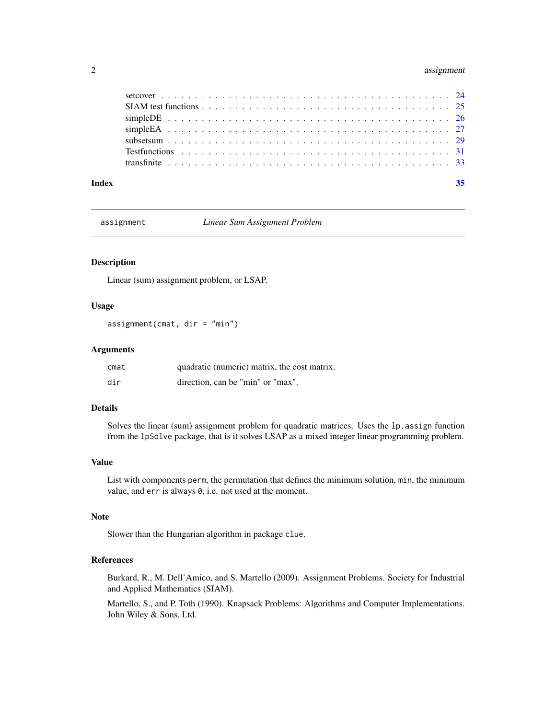# <span id="page-1-0"></span>2 assignment

| Index | 35 |
|-------|----|
|       |    |
|       |    |
|       |    |
|       |    |
|       |    |
|       |    |
|       |    |

assignment *Linear Sum Assignment Problem*

# Description

Linear (sum) assignment problem, or LSAP.

# Usage

assignment(cmat, dir = "min")

# Arguments

| cmat | quadratic (numeric) matrix, the cost matrix. |
|------|----------------------------------------------|
| dir  | direction, can be "min" or "max".            |

# Details

Solves the linear (sum) assignment problem for quadratic matrices. Uses the lp.assign function from the lpSolve package, that is it solves LSAP as a mixed integer linear programming problem.

# Value

List with components perm, the permutation that defines the minimum solution, min, the minimum value, and err is always 0, i.e. not used at the moment.

# Note

Slower than the Hungarian algorithm in package clue.

# References

Burkard, R., M. Dell'Amico, and S. Martello (2009). Assignment Problems. Society for Industrial and Applied Mathematics (SIAM).

Martello, S., and P. Toth (1990). Knapsack Problems: Algorithms and Computer Implementations. John Wiley & Sons, Ltd.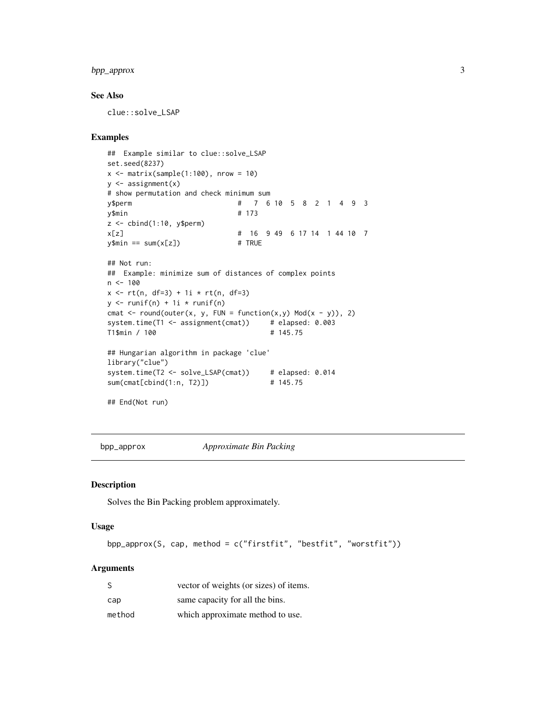# <span id="page-2-0"></span>bpp\_approx 3

# See Also

clue::solve\_LSAP

# Examples

```
## Example similar to clue::solve_LSAP
set.seed(8237)
x \le - matrix(sample(1:100), nrow = 10)
y <- assignment(x)
# show permutation and check minimum sum
y$perm # 7 6 10 5 8 2 1 4 9 3
y$min # 173
z <- cbind(1:10, y$perm)
x[z] # 16 9 49 6 17 14 1 44 10 7
y$min == sum(x[z]) # TRUE
## Not run:
## Example: minimize sum of distances of complex points
n < -100x \le r t(n, df=3) + 1i * rt(n, df=3)y \leftarrow runif(n) + 1i * runif(n)cmat \le round(outer(x, y, FUN = function(x,y) Mod(x - y)), 2)
system.time(T1 <- assignment(cmat)) # elapsed: 0.003
T1$min / 100 # 145.75
## Hungarian algorithm in package 'clue'
library("clue")
system.time(T2 <- solve_LSAP(cmat)) # elapsed: 0.014
sum(cmat[cbind(1:n, T2)]) # 145.75
## End(Not run)
```
bpp\_approx *Approximate Bin Packing*

# Description

Solves the Bin Packing problem approximately.

# Usage

```
bpp_approx(S, cap, method = c("firstfit", "bestfit", "worstfit"))
```
# Arguments

| -S     | vector of weights (or sizes) of items. |
|--------|----------------------------------------|
| cap    | same capacity for all the bins.        |
| method | which approximate method to use.       |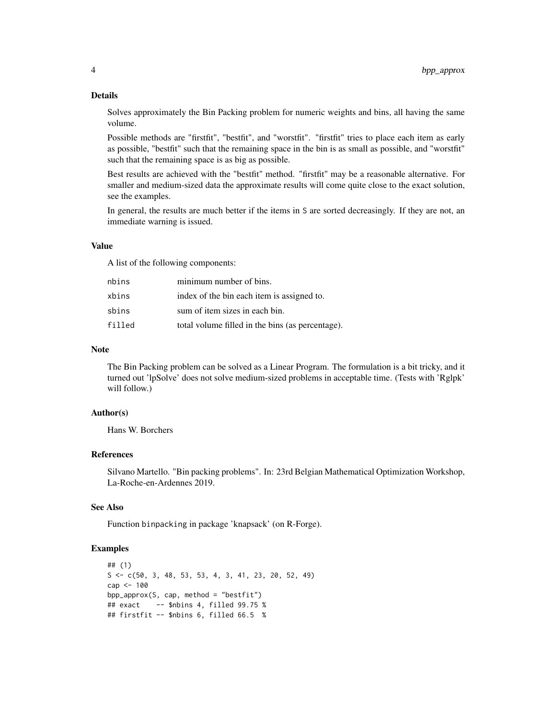#### Details

Solves approximately the Bin Packing problem for numeric weights and bins, all having the same volume.

Possible methods are "firstfit", "bestfit", and "worstfit". "firstfit" tries to place each item as early as possible, "bestfit" such that the remaining space in the bin is as small as possible, and "worstfit" such that the remaining space is as big as possible.

Best results are achieved with the "bestfit" method. "firstfit" may be a reasonable alternative. For smaller and medium-sized data the approximate results will come quite close to the exact solution, see the examples.

In general, the results are much better if the items in S are sorted decreasingly. If they are not, an immediate warning is issued.

#### Value

A list of the following components:

| nbins  | minimum number of bins.                          |
|--------|--------------------------------------------------|
| xbins  | index of the bin each item is assigned to.       |
| sbins  | sum of item sizes in each bin.                   |
| filled | total volume filled in the bins (as percentage). |

# Note

The Bin Packing problem can be solved as a Linear Program. The formulation is a bit tricky, and it turned out 'lpSolve' does not solve medium-sized problems in acceptable time. (Tests with 'Rglpk' will follow.)

# Author(s)

Hans W. Borchers

# References

Silvano Martello. "Bin packing problems". In: 23rd Belgian Mathematical Optimization Workshop, La-Roche-en-Ardennes 2019.

# See Also

Function binpacking in package 'knapsack' (on R-Forge).

```
## (1)
S \leftarrow C(50, 3, 48, 53, 53, 4, 3, 41, 23, 20, 52, 49)cap <- 100
bpp_approx(S, cap, method = "bestfit")
## exact -- $nbins 4, filled 99.75 %
## firstfit -- $nbins 6, filled 66.5 %
```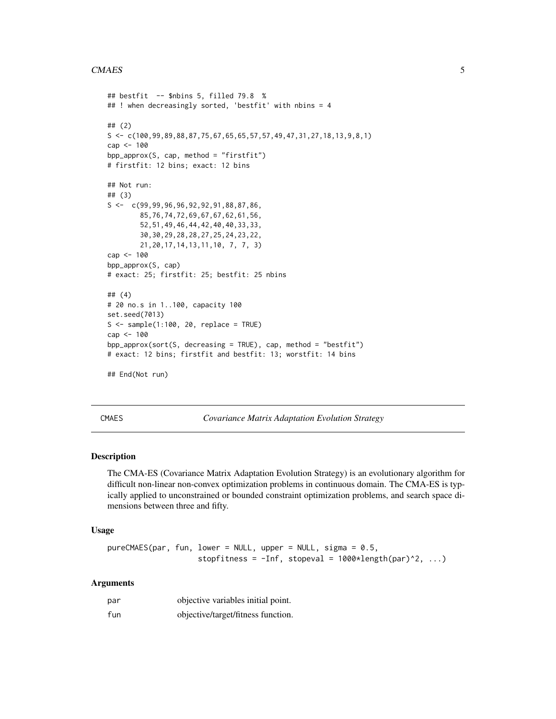#### <span id="page-4-0"></span>CMAES 5

```
## bestfit -- $nbins 5, filled 79.8 %
## ! when decreasingly sorted, 'bestfit' with nbins = 4
## (2)
S <- c(100,99,89,88,87,75,67,65,65,57,57,49,47,31,27,18,13,9,8,1)
cap <- 100
bpp_approx(S, cap, method = "firstfit")
# firstfit: 12 bins; exact: 12 bins
## Not run:
## (3)
S \leftarrow c(99, 99, 96, 96, 92, 92, 91, 88, 87, 86,85,76,74,72,69,67,67,62,61,56,
        52,51,49,46,44,42,40,40,33,33,
        30,30,29,28,28,27,25,24,23,22,
        21,20,17,14,13,11,10, 7, 7, 3)
cap <- 100
bpp_approx(S, cap)
# exact: 25; firstfit: 25; bestfit: 25 nbins
## (4)
# 20 no.s in 1..100, capacity 100
set.seed(7013)
S \leq sample(1:100, 20, replace = TRUE)
cap <- 100
bpp_approx(sort(S, decreasing = TRUE), cap, method = "bestfit")
# exact: 12 bins; firstfit and bestfit: 13; worstfit: 14 bins
## End(Not run)
```
CMAES *Covariance Matrix Adaptation Evolution Strategy*

# Description

The CMA-ES (Covariance Matrix Adaptation Evolution Strategy) is an evolutionary algorithm for difficult non-linear non-convex optimization problems in continuous domain. The CMA-ES is typically applied to unconstrained or bounded constraint optimization problems, and search space dimensions between three and fifty.

#### Usage

```
pureCMAES(par, fun, lower = NULL, upper = NULL, sigma = 0.5,
                   stopfitness = -Inf, stopeval = 1000*length(par)^2, ...
```
# Arguments

| par | objective variables initial point. |
|-----|------------------------------------|
| fun | objective/target/fitness function. |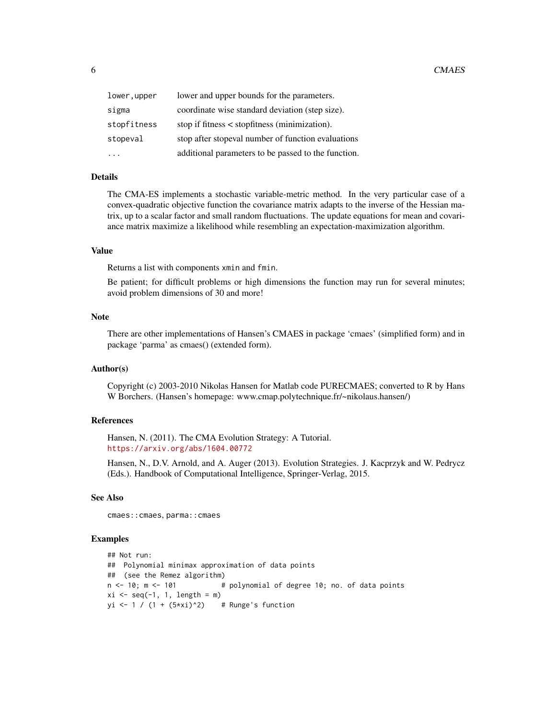| lower,upper | lower and upper bounds for the parameters.          |
|-------------|-----------------------------------------------------|
| sigma       | coordinate wise standard deviation (step size).     |
| stopfitness | stop if fitness $\lt$ stopfitness (minimization).   |
| stopeval    | stop after stopeval number of function evaluations  |
|             | additional parameters to be passed to the function. |

# Details

The CMA-ES implements a stochastic variable-metric method. In the very particular case of a convex-quadratic objective function the covariance matrix adapts to the inverse of the Hessian matrix, up to a scalar factor and small random fluctuations. The update equations for mean and covariance matrix maximize a likelihood while resembling an expectation-maximization algorithm.

#### Value

Returns a list with components xmin and fmin.

Be patient; for difficult problems or high dimensions the function may run for several minutes; avoid problem dimensions of 30 and more!

# Note

There are other implementations of Hansen's CMAES in package 'cmaes' (simplified form) and in package 'parma' as cmaes() (extended form).

#### Author(s)

Copyright (c) 2003-2010 Nikolas Hansen for Matlab code PURECMAES; converted to R by Hans W Borchers. (Hansen's homepage: www.cmap.polytechnique.fr/~nikolaus.hansen/)

# References

Hansen, N. (2011). The CMA Evolution Strategy: A Tutorial. <https://arxiv.org/abs/1604.00772>

Hansen, N., D.V. Arnold, and A. Auger (2013). Evolution Strategies. J. Kacprzyk and W. Pedrycz (Eds.). Handbook of Computational Intelligence, Springer-Verlag, 2015.

# See Also

cmaes::cmaes, parma::cmaes

```
## Not run:
## Polynomial minimax approximation of data points
## (see the Remez algorithm)
n \le -10; m \le -101 # polynomial of degree 10; no. of data points
xi \leftarrow seq(-1, 1, length = m)yi <- 1 / (1 + (5*xi)^2) # Runge's function
```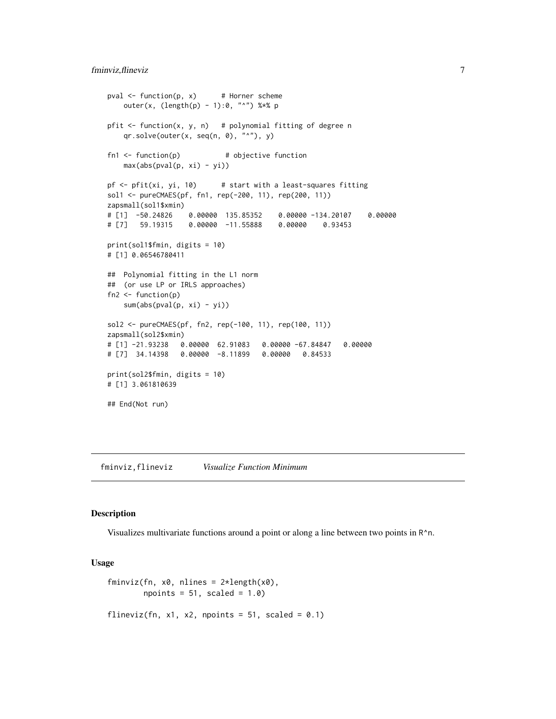```
pval \leq function(p, x) # Horner scheme
   outer(x, (length(p) - 1):0, "^n") %*% p
pfit \le function(x, y, n) # polynomial fitting of degree n
   qr.solve(outer(x, seq(n, 0), "^n), y)fn1 <- function(p) # objective function
   max(abs(pval(p, xi) - yi))pf \le- pfit(xi, yi, 10) # start with a least-squares fitting
sol1 <- pureCMAES(pf, fn1, rep(-200, 11), rep(200, 11))
zapsmall(sol1$xmin)
# [1] -50.24826 0.00000 135.85352 0.00000 -134.20107 0.00000
# [7] 59.19315 0.00000 -11.55888 0.00000 0.93453
print(sol1$fmin, digits = 10)
# [1] 0.06546780411
## Polynomial fitting in the L1 norm
## (or use LP or IRLS approaches)
fn2 < - function(p)
   sum(abs(pval(p, xi) - yi))
sol2 <- pureCMAES(pf, fn2, rep(-100, 11), rep(100, 11))
zapsmall(sol2$xmin)
# [1] -21.93238 0.00000 62.91083 0.00000 -67.84847 0.00000
# [7] 34.14398 0.00000 -8.11899 0.00000 0.84533
print(sol2$fmin, digits = 10)
# [1] 3.061810639
## End(Not run)
```
fminviz,flineviz *Visualize Function Minimum*

#### Description

Visualizes multivariate functions around a point or along a line between two points in  $R^n$ .

# Usage

```
fminviz(fn, x0, nlines = 2*length(x0),
       npoints = 51, scaled = 1.0)
flineviz(fn, x1, x2, npoints = 51, scaled = 0.1)
```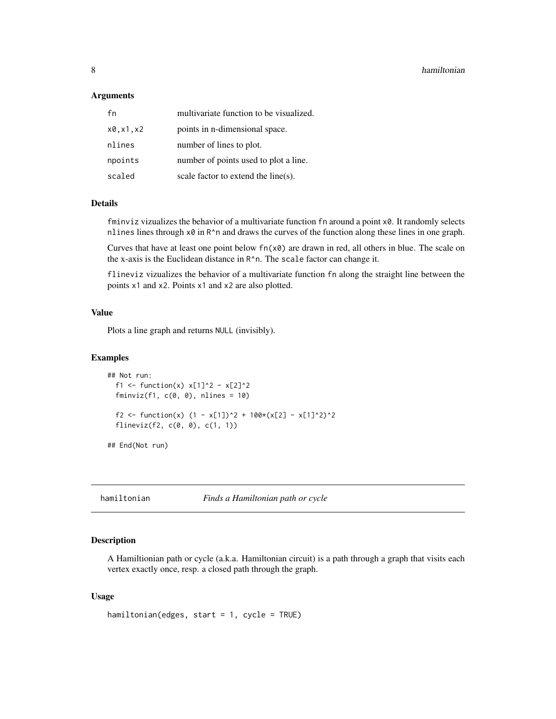#### <span id="page-7-0"></span>**Arguments**

| fn       | multivariate function to be visualized. |
|----------|-----------------------------------------|
| x0.x1.x2 | points in <i>n</i> -dimensional space.  |
| nlines   | number of lines to plot.                |
| npoints  | number of points used to plot a line.   |
| scaled   | scale factor to extend the line(s).     |

# Details

fminviz vizualizes the behavior of a multivariate function fn around a point x0. It randomly selects nlines lines through  $x0$  in R<sup> $\wedge$ </sup>n and draws the curves of the function along these lines in one graph.

Curves that have at least one point below  $fn(x0)$  are drawn in red, all others in blue. The scale on the x-axis is the Euclidean distance in R^n. The scale factor can change it.

flineviz vizualizes the behavior of a multivariate function fn along the straight line between the points x1 and x2. Points x1 and x2 are also plotted.

# Value

Plots a line graph and returns NULL (invisibly).

#### Examples

```
## Not run:
 f1 <- function(x) x[1]^2 - x[2]^2fminviz(f1, c(0, 0), nlines = 10)f2 <- function(x) (1 - x[1])^2 + 100*(x[2] - x[1]^2)^2
 flineviz(f2, c(0, 0), c(1, 1))
## End(Not run)
```
hamiltonian *Finds a Hamiltonian path or cycle*

# Description

A Hamiltionian path or cycle (a.k.a. Hamiltonian circuit) is a path through a graph that visits each vertex exactly once, resp. a closed path through the graph.

# Usage

```
hamiltonian(edges, start = 1, cycle = TRUE)
```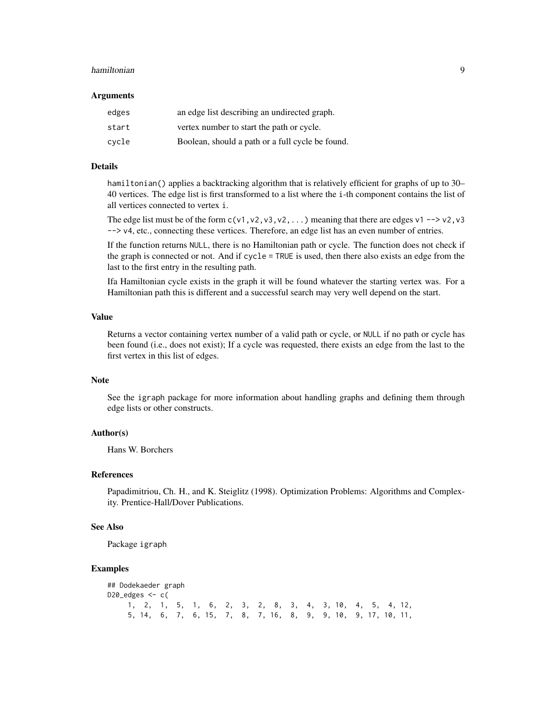#### hamiltonian 9

#### Arguments

| edges | an edge list describing an undirected graph.     |
|-------|--------------------------------------------------|
| start | vertex number to start the path or cycle.        |
| cvcle | Boolean, should a path or a full cycle be found. |

# Details

hamiltonian() applies a backtracking algorithm that is relatively efficient for graphs of up to 30– 40 vertices. The edge list is first transformed to a list where the i-th component contains the list of all vertices connected to vertex i.

The edge list must be of the form  $c(v1, v2, v3, v2, ...)$  meaning that there are edges v1 --> v2, v3 --> v4, etc., connecting these vertices. Therefore, an edge list has an even number of entries.

If the function returns NULL, there is no Hamiltonian path or cycle. The function does not check if the graph is connected or not. And if cycle = TRUE is used, then there also exists an edge from the last to the first entry in the resulting path.

Ifa Hamiltonian cycle exists in the graph it will be found whatever the starting vertex was. For a Hamiltonian path this is different and a successful search may very well depend on the start.

# Value

Returns a vector containing vertex number of a valid path or cycle, or NULL if no path or cycle has been found (i.e., does not exist); If a cycle was requested, there exists an edge from the last to the first vertex in this list of edges.

# Note

See the igraph package for more information about handling graphs and defining them through edge lists or other constructs.

# Author(s)

Hans W. Borchers

#### References

Papadimitriou, Ch. H., and K. Steiglitz (1998). Optimization Problems: Algorithms and Complexity. Prentice-Hall/Dover Publications.

#### See Also

Package igraph

```
## Dodekaeder graph
D20_edges \leq c(
    1, 2, 1, 5, 1, 6, 2, 3, 2, 8, 3, 4, 3, 10, 4, 5, 4, 12,
    5, 14, 6, 7, 6, 15, 7, 8, 7, 16, 8, 9, 9, 10, 9, 17, 10, 11,
```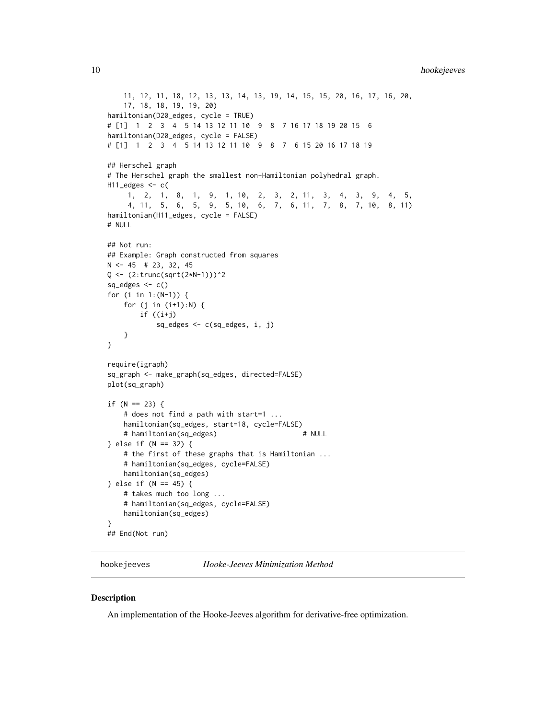```
11, 12, 11, 18, 12, 13, 13, 14, 13, 19, 14, 15, 15, 20, 16, 17, 16, 20,
    17, 18, 18, 19, 19, 20)
hamiltonian(D20_edges, cycle = TRUE)
# [1] 1 2 3 4 5 14 13 12 11 10 9 8 7 16 17 18 19 20 15 6
hamiltonian(D20_edges, cycle = FALSE)
# [1] 1 2 3 4 5 14 13 12 11 10 9 8 7 6 15 20 16 17 18 19
## Herschel graph
# The Herschel graph the smallest non-Hamiltonian polyhedral graph.
H11_edges <- c(
     1, 2, 1, 8, 1, 9, 1, 10, 2, 3, 2, 11, 3, 4, 3, 9, 4, 5,
     4, 11, 5, 6, 5, 9, 5, 10, 6, 7, 6, 11, 7, 8, 7, 10, 8, 11)
hamiltonian(H11_edges, cycle = FALSE)
# NULL
## Not run:
## Example: Graph constructed from squares
N <- 45 # 23, 32, 45
Q <- (2:trunc(sqrt(2*N-1)))^2
sq_e edges \leftarrow c()for (i in 1:(N-1)) {
    for (j in (i+1):N) {
       if ((i+j)
           sq_edges <- c(sq_edges, i, j)
    }
}
require(igraph)
sq_graph <- make_graph(sq_edges, directed=FALSE)
plot(sq_graph)
if (N == 23) {
    # does not find a path with start=1 ...
   hamiltonian(sq_edges, start=18, cycle=FALSE)
    # hamiltonian(sq_edges) # NULL
} else if (N == 32) {
    # the first of these graphs that is Hamiltonian ...
    # hamiltonian(sq_edges, cycle=FALSE)
    hamiltonian(sq_edges)
} else if (N == 45) {
    # takes much too long ...
    # hamiltonian(sq_edges, cycle=FALSE)
   hamiltonian(sq_edges)
}
## End(Not run)
```
<span id="page-9-1"></span>hookejeeves *Hooke-Jeeves Minimization Method*

# **Description**

An implementation of the Hooke-Jeeves algorithm for derivative-free optimization.

<span id="page-9-0"></span>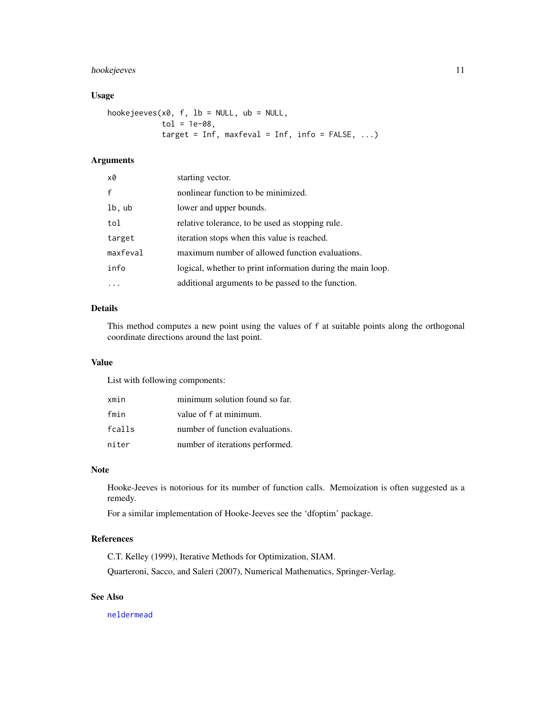# <span id="page-10-0"></span>hookejeeves 11

# Usage

hookejeeves(x0, f, lb = NULL, ub = NULL,  $tol = 1e-08,$ target = Inf, maxfeval = Inf, info =  $FALSE, ...$ )

# Arguments

| x0           | starting vector.                                            |
|--------------|-------------------------------------------------------------|
| $\mathsf{f}$ | nonlinear function to be minimized.                         |
| lb, ub       | lower and upper bounds.                                     |
| tol          | relative tolerance, to be used as stopping rule.            |
| target       | iteration stops when this value is reached.                 |
| maxfeval     | maximum number of allowed function evaluations.             |
| info         | logical, whether to print information during the main loop. |
|              | additional arguments to be passed to the function.          |

# Details

This method computes a new point using the values of f at suitable points along the orthogonal coordinate directions around the last point.

# Value

List with following components:

| xmin   | minimum solution found so far.  |
|--------|---------------------------------|
| fmin   | value of f at minimum.          |
| fcalls | number of function evaluations. |
| niter  | number of iterations performed. |

# Note

Hooke-Jeeves is notorious for its number of function calls. Memoization is often suggested as a remedy.

For a similar implementation of Hooke-Jeeves see the 'dfoptim' package.

# References

C.T. Kelley (1999), Iterative Methods for Optimization, SIAM. Quarteroni, Sacco, and Saleri (2007), Numerical Mathematics, Springer-Verlag.

# See Also

[neldermead](#page-19-1)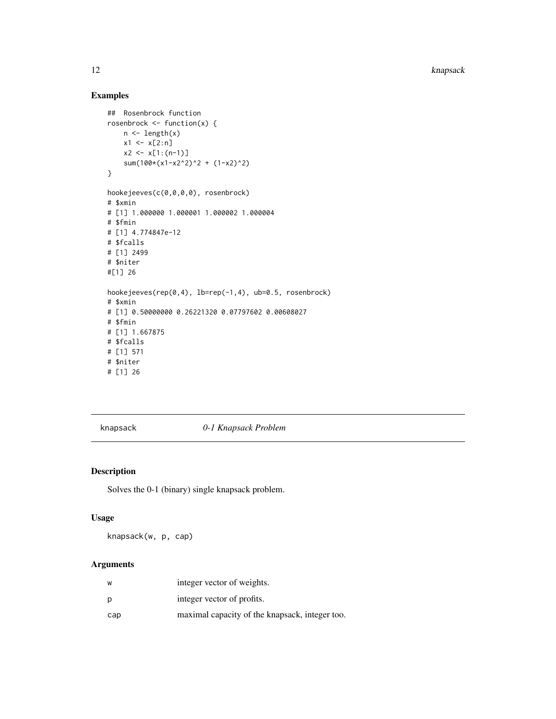<span id="page-11-0"></span>12 knapsack

# Examples

```
## Rosenbrock function
rosenbrock <- function(x) {
   n <- length(x)
   x1 \le x[2:n]x2 \leftarrow x[1:(n-1)]sum(100*(x1-x2^2)^2 + (1-x2)^2)
}
hookejeeves(c(0,0,0,0), rosenbrock)
# $xmin
# [1] 1.000000 1.000001 1.000002 1.000004
# $fmin
# [1] 4.774847e-12
# $fcalls
# [1] 2499
# $niter
#[1] 26
hookejeeves(rep(0,4), lb=rep(-1,4), ub=0.5, rosenbrock)
# $xmin
# [1] 0.50000000 0.26221320 0.07797602 0.00608027
# $fmin
# [1] 1.667875
# $fcalls
# [1] 571
# $niter
# [1] 26
```
<span id="page-11-1"></span>knapsack *0-1 Knapsack Problem*

# Description

Solves the 0-1 (binary) single knapsack problem.

# Usage

knapsack(w, p, cap)

# Arguments

| W   | integer vector of weights.                     |
|-----|------------------------------------------------|
| р   | integer vector of profits.                     |
| cap | maximal capacity of the knapsack, integer too. |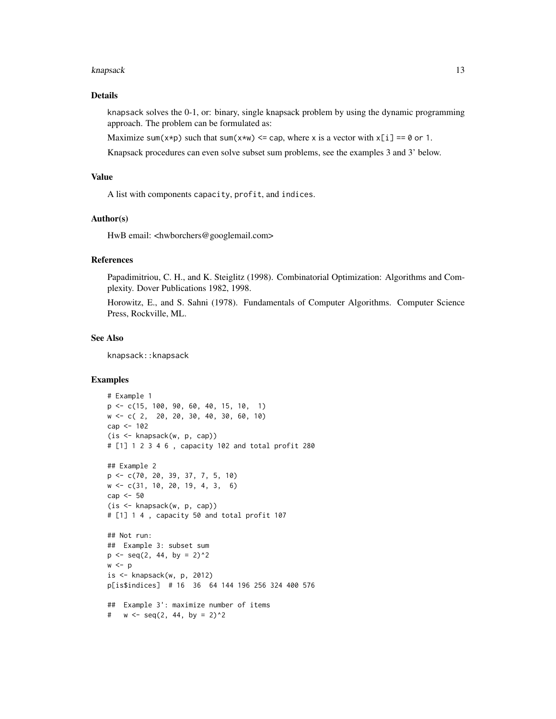#### knapsack the contract of the contract of the contract of the contract of the contract of the contract of the contract of the contract of the contract of the contract of the contract of the contract of the contract of the c

# Details

knapsack solves the 0-1, or: binary, single knapsack problem by using the dynamic programming approach. The problem can be formulated as:

Maximize sum( $x \star p$ ) such that sum( $x \star w$ )  $\leq$  cap, where x is a vector with  $x[i] = 0$  or 1.

Knapsack procedures can even solve subset sum problems, see the examples 3 and 3' below.

# Value

A list with components capacity, profit, and indices.

# Author(s)

HwB email: <hwborchers@googlemail.com>

# References

Papadimitriou, C. H., and K. Steiglitz (1998). Combinatorial Optimization: Algorithms and Complexity. Dover Publications 1982, 1998.

Horowitz, E., and S. Sahni (1978). Fundamentals of Computer Algorithms. Computer Science Press, Rockville, ML.

# See Also

knapsack::knapsack

```
# Example 1
p <- c(15, 100, 90, 60, 40, 15, 10, 1)
w <- c( 2, 20, 20, 30, 40, 30, 60, 10)
cap <- 102
(is <- knapsack(w, p, cap))
# [1] 1 2 3 4 6 , capacity 102 and total profit 280
## Example 2
p <- c(70, 20, 39, 37, 7, 5, 10)
w <- c(31, 10, 20, 19, 4, 3, 6)
cap <- 50
(is <- knapsack(w, p, cap))
# [1] 1 4 , capacity 50 and total profit 107
## Not run:
## Example 3: subset sum
p \le - seq(2, 44, by = 2)^2
w < pis <- knapsack(w, p, 2012)
p[is$indices] # 16 36 64 144 196 256 324 400 576
## Example 3': maximize number of items
# w \leq -\text{seq}(2, 44, \text{ by } = 2)^2
```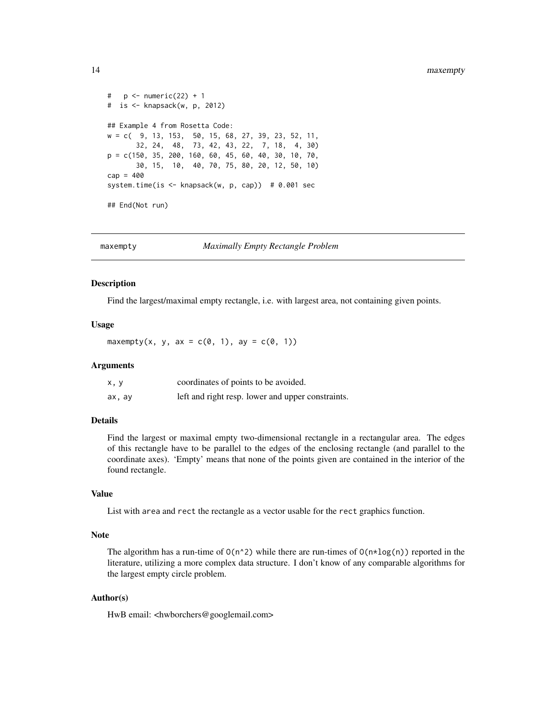```
# p \leq -\text{numeric}(22) + 1# is <- knapsack(w, p, 2012)
## Example 4 from Rosetta Code:
w = c( 9, 13, 153, 50, 15, 68, 27, 39, 23, 52, 11,
      32, 24, 48, 73, 42, 43, 22, 7, 18, 4, 30)
p = c(150, 35, 200, 160, 60, 45, 60, 40, 30, 10, 70,
      30, 15, 10, 40, 70, 75, 80, 20, 12, 50, 10)
cap = 400system.time(is <- knapsack(w, p, cap)) # 0.001 sec
## End(Not run)
```
maxempty *Maximally Empty Rectangle Problem*

# Description

Find the largest/maximal empty rectangle, i.e. with largest area, not containing given points.

#### Usage

maxempty(x, y, ax =  $c(\emptyset, 1)$ , ay =  $c(\emptyset, 1)$ )

#### Arguments

| x, y   | coordinates of points to be avoided.              |
|--------|---------------------------------------------------|
| ax, ay | left and right resp. lower and upper constraints. |

# Details

Find the largest or maximal empty two-dimensional rectangle in a rectangular area. The edges of this rectangle have to be parallel to the edges of the enclosing rectangle (and parallel to the coordinate axes). 'Empty' means that none of the points given are contained in the interior of the found rectangle.

# Value

List with area and rect the rectangle as a vector usable for the rect graphics function.

# Note

The algorithm has a run-time of  $O(n^2)$  while there are run-times of  $O(n \times log(n))$  reported in the literature, utilizing a more complex data structure. I don't know of any comparable algorithms for the largest empty circle problem.

# Author(s)

HwB email: <hwborchers@googlemail.com>

<span id="page-13-0"></span>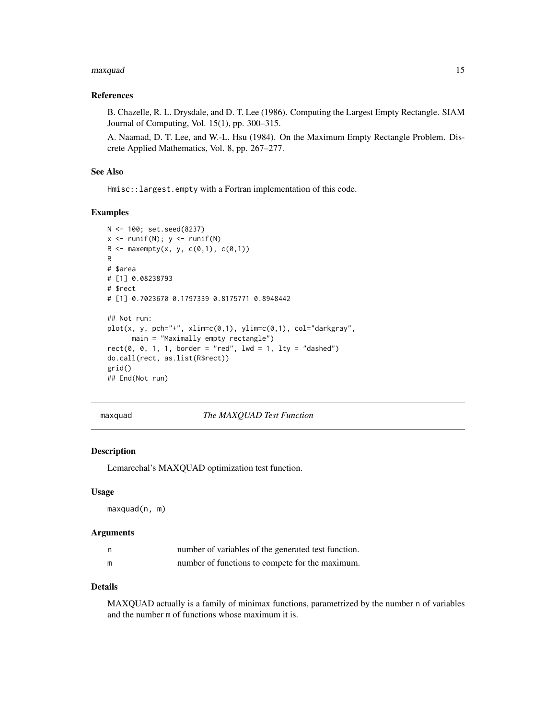#### <span id="page-14-0"></span>maxquad 15

# References

B. Chazelle, R. L. Drysdale, and D. T. Lee (1986). Computing the Largest Empty Rectangle. SIAM Journal of Computing, Vol. 15(1), pp. 300–315.

A. Naamad, D. T. Lee, and W.-L. Hsu (1984). On the Maximum Empty Rectangle Problem. Discrete Applied Mathematics, Vol. 8, pp. 267–277.

# See Also

Hmisc::largest.empty with a Fortran implementation of this code.

# Examples

```
N <- 100; set.seed(8237)
x \leftarrow runif(N); y \leftarrow runif(N)R <- maxempty(x, y, c(0,1), c(0,1))
R
# $area
# [1] 0.08238793
# $rect
# [1] 0.7023670 0.1797339 0.8175771 0.8948442
## Not run:
plot(x, y, pch="+", xlim=c(0,1), ylim=c(0,1), col="darkgray",main = "Maximally empty rectangle")
rect(0, 0, 1, 1, border = "red", lwd = 1, lty = "dashed")do.call(rect, as.list(R$rect))
grid()
## End(Not run)
```
maxquad *The MAXQUAD Test Function*

# Description

Lemarechal's MAXQUAD optimization test function.

# Usage

maxquad(n, m)

# **Arguments**

| n | number of variables of the generated test function. |
|---|-----------------------------------------------------|
| m | number of functions to compete for the maximum.     |

# Details

MAXQUAD actually is a family of minimax functions, parametrized by the number n of variables and the number m of functions whose maximum it is.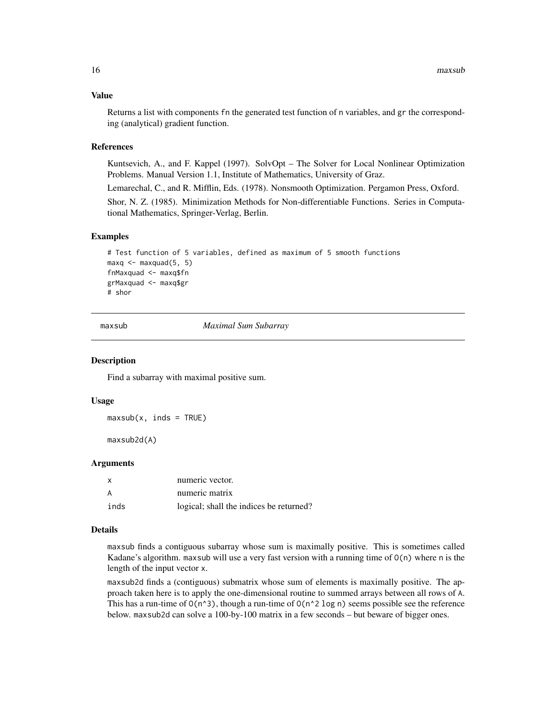#### <span id="page-15-0"></span>Value

Returns a list with components fn the generated test function of n variables, and gr the corresponding (analytical) gradient function.

# References

Kuntsevich, A., and F. Kappel (1997). SolvOpt – The Solver for Local Nonlinear Optimization Problems. Manual Version 1.1, Institute of Mathematics, University of Graz.

Lemarechal, C., and R. Mifflin, Eds. (1978). Nonsmooth Optimization. Pergamon Press, Oxford.

Shor, N. Z. (1985). Minimization Methods for Non-differentiable Functions. Series in Computational Mathematics, Springer-Verlag, Berlin.

#### Examples

```
# Test function of 5 variables, defined as maximum of 5 smooth functions
maxq < - maxquad(5, 5)
fnMaxquad <- maxq$fn
grMaxquad <- maxq$gr
# shor
```
maxsub *Maximal Sum Subarray*

# Description

Find a subarray with maximal positive sum.

# Usage

 $maxsub(x, inds = TRUE)$ 

maxsub2d(A)

# Arguments

|      | numeric vector.                         |
|------|-----------------------------------------|
|      | numeric matrix                          |
| inds | logical; shall the indices be returned? |

# Details

maxsub finds a contiguous subarray whose sum is maximally positive. This is sometimes called Kadane's algorithm. maxsub will use a very fast version with a running time of O(n) where n is the length of the input vector x.

maxsub2d finds a (contiguous) submatrix whose sum of elements is maximally positive. The approach taken here is to apply the one-dimensional routine to summed arrays between all rows of A. This has a run-time of  $O(n^3)$ , though a run-time of  $O(n^2 \log n)$  seems possible see the reference below. maxsub2d can solve a 100-by-100 matrix in a few seconds – but beware of bigger ones.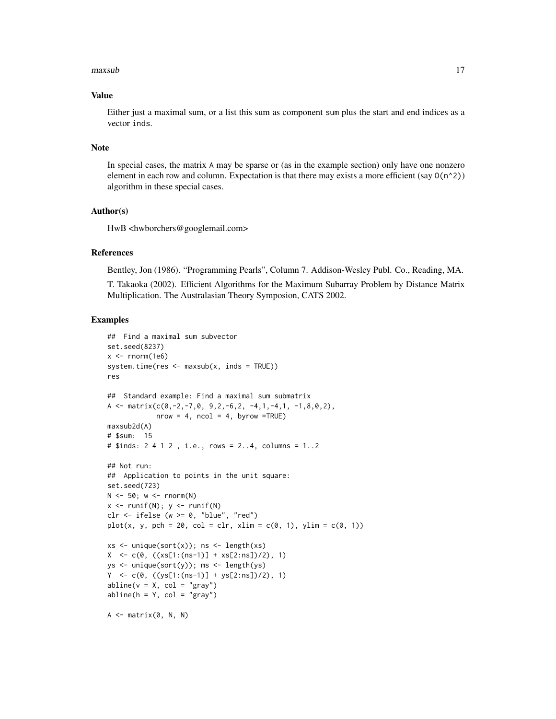#### maxsub the contract of the contract of the contract of the contract of the contract of the contract of the contract of the contract of the contract of the contract of the contract of the contract of the contract of the con

#### Value

Either just a maximal sum, or a list this sum as component sum plus the start and end indices as a vector inds.

#### Note

In special cases, the matrix A may be sparse or (as in the example section) only have one nonzero element in each row and column. Expectation is that there may exists a more efficient (say  $O(n^2)$ ) algorithm in these special cases.

# Author(s)

HwB <hwborchers@googlemail.com>

# References

Bentley, Jon (1986). "Programming Pearls", Column 7. Addison-Wesley Publ. Co., Reading, MA.

T. Takaoka (2002). Efficient Algorithms for the Maximum Subarray Problem by Distance Matrix Multiplication. The Australasian Theory Symposion, CATS 2002.

```
## Find a maximal sum subvector
set.seed(8237)
x \le rnorm(1e6)
system.time(res \leq maxsub(x, inds = TRUE))res
## Standard example: Find a maximal sum submatrix
A <- matrix(c(0,-2,-7,0, 9,2,-6,2, -4,1,-4,1, -1,8,0,2),
            nrow = 4, ncol = 4, byrow = TRUE)
maxsub2d(A)
# $sum: 15
# $inds: 2 4 1 2 , i.e., rows = 2..4, columns = 1..2
## Not run:
## Application to points in the unit square:
set.seed(723)
N < -50; w < - rnorm(N)
x \leftarrow runif(N); y \leftarrow runif(N)clr \le ifelse (w \ge 0, "blue", "red")
plot(x, y, pch = 20, col = clr, xlim = c(0, 1), ylim = c(0, 1))xs \leftarrow unique(sort(x)); ns \leftarrow length(xs)X \leq c(0, ((xs[1:(ns-1)] + xs[2:ns])/2), 1)ys <- unique(sort(y)); ms <- length(ys)
Y \leq c(\emptyset, ((ys[1:(ns-1)] + ys[2:ns])/2), 1)abline(v = X, col = "gray")abline(h = Y, col = "gray")A \leq - matrix(0, N, N)
```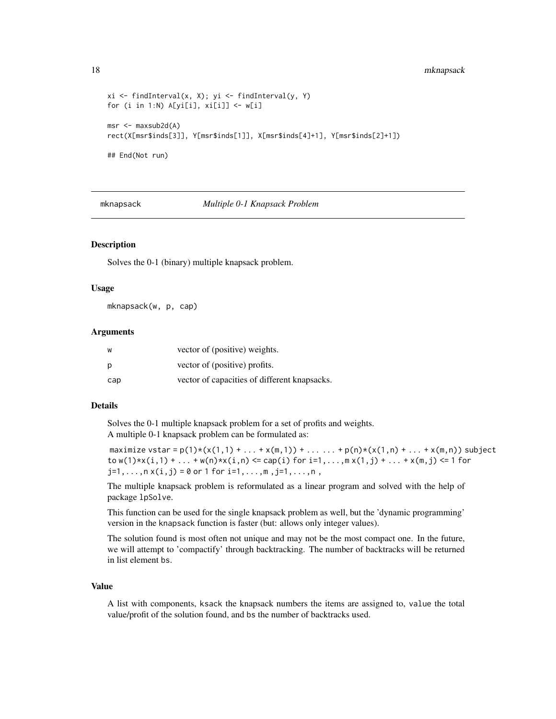#### <span id="page-17-0"></span>18 mknapsack

```
xi <- findInterval(x, X); yi <- findInterval(y, Y)
for (i in 1:N) A[yi[i], xi[i]] \leftarrow w[i]msr <- maxsub2d(A)
rect(X[msr$inds[3]], Y[msr$inds[1]], X[msr$inds[4]+1], Y[msr$inds[2]+1])
## End(Not run)
```
mknapsack *Multiple 0-1 Knapsack Problem*

# Description

Solves the 0-1 (binary) multiple knapsack problem.

# Usage

mknapsack(w, p, cap)

#### Arguments

| W   | vector of (positive) weights.                |
|-----|----------------------------------------------|
| p   | vector of (positive) profits.                |
| cap | vector of capacities of different knapsacks. |

# Details

Solves the 0-1 multiple knapsack problem for a set of profits and weights. A multiple 0-1 knapsack problem can be formulated as:

```
maximize vstar = p(1) * (x(1,1) + ... + x(m,1)) + ... + p(n) * (x(1,n) + ... + x(m,n)) subject
to w(1) * x(i,1) + ... + w(n) * x(i,n) \leq cap(i) for i=1,...,m x(1,j) + ... + x(m,j) \leq 1 for
j=1,...,n x(i,j) = 0 or 1 for i=1,...,m, j=1,...,n,
```
The multiple knapsack problem is reformulated as a linear program and solved with the help of package lpSolve.

This function can be used for the single knapsack problem as well, but the 'dynamic programming' version in the knapsack function is faster (but: allows only integer values).

The solution found is most often not unique and may not be the most compact one. In the future, we will attempt to 'compactify' through backtracking. The number of backtracks will be returned in list element bs.

# Value

A list with components, ksack the knapsack numbers the items are assigned to, value the total value/profit of the solution found, and bs the number of backtracks used.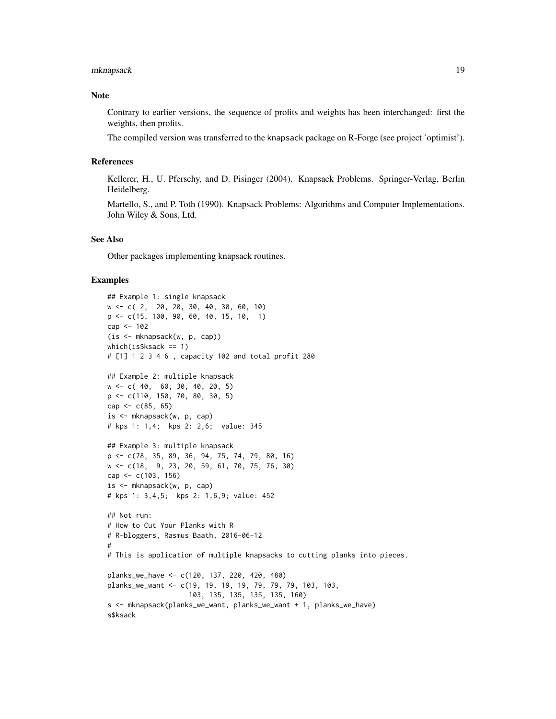# mknapsack 19

# Note

Contrary to earlier versions, the sequence of profits and weights has been interchanged: first the weights, then profits.

The compiled version was transferred to the knapsack package on R-Forge (see project 'optimist').

#### References

Kellerer, H., U. Pferschy, and D. Pisinger (2004). Knapsack Problems. Springer-Verlag, Berlin Heidelberg.

Martello, S., and P. Toth (1990). Knapsack Problems: Algorithms and Computer Implementations. John Wiley & Sons, Ltd.

# See Also

Other packages implementing knapsack routines.

```
## Example 1: single knapsack
w <- c( 2, 20, 20, 30, 40, 30, 60, 10)
p <- c(15, 100, 90, 60, 40, 15, 10, 1)
cap <- 102
(is <- mknapsack(w, p, cap))
which(is$ksack == 1)
# [1] 1 2 3 4 6 , capacity 102 and total profit 280
## Example 2: multiple knapsack
w <- c( 40, 60, 30, 40, 20, 5)
p <- c(110, 150, 70, 80, 30, 5)
cap <-c(85, 65)is <- mknapsack(w, p, cap)
# kps 1: 1,4; kps 2: 2,6; value: 345
## Example 3: multiple knapsack
p <- c(78, 35, 89, 36, 94, 75, 74, 79, 80, 16)
w <- c(18, 9, 23, 20, 59, 61, 70, 75, 76, 30)
cap <- c(103, 156)
is <- mknapsack(w, p, cap)
# kps 1: 3,4,5; kps 2: 1,6,9; value: 452
## Not run:
# How to Cut Your Planks with R
# R-bloggers, Rasmus Baath, 2016-06-12
#
# This is application of multiple knapsacks to cutting planks into pieces.
planks_we_have <- c(120, 137, 220, 420, 480)
planks_we_want <- c(19, 19, 19, 19, 79, 79, 79, 103, 103,
                    103, 135, 135, 135, 135, 160)
s <- mknapsack(planks_we_want, planks_we_want + 1, planks_we_have)
s$ksack
```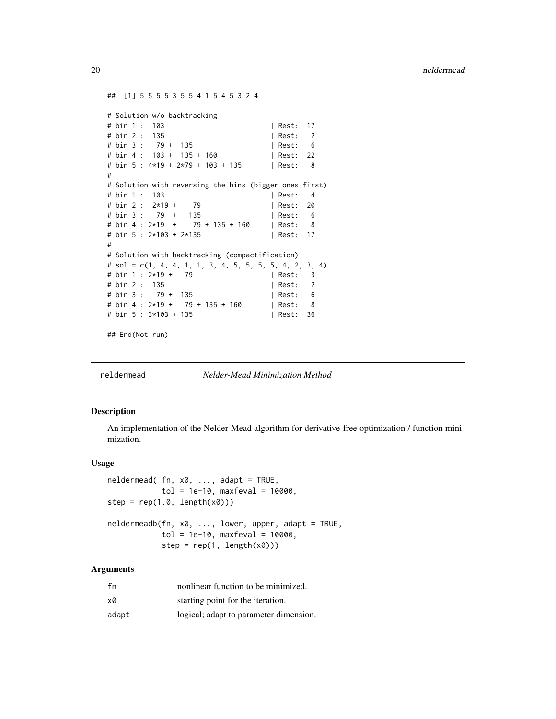```
## [1] 5 5 5 5 3 5 5 4 1 5 4 5 3 2 4
# Solution w/o backtracking
# bin 1 : 103 | Rest: 17
# bin 2 : 135 | Rest: 2
# bin 3 : 79 + 135 | Rest: 6
# bin 4 : 103 + 135 + 160 | Rest: 22
# bin 5 : 4*19 + 2*79 + 103 + 135 | Rest: 8
#
# Solution with reversing the bins (bigger ones first)
# bin 1 : 103 | Rest: 4
# bin 2 : 2*19 + 79 | Rest: 20
# bin 3 : 79 + 135 | Rest: 6
# bin 4 : 2*19 + 79 + 135 + 160 | Rest: 8
# bin 5 : 2*103 + 2*135 | Rest: 17
#
# Solution with backtracking (compactification)
# sol = c(1, 4, 4, 1, 1, 3, 4, 5, 5, 5, 5, 4, 2, 3, 4)
# bin 1 : 2*19 + 79 | Rest: 3
# bin 2 : 135 | Rest: 2
# bin 3 : 79 + 135 | Rest: 6
# bin 4 : 2*19 + 79 + 135 + 160 | Rest: 8
# bin 5 : 3*103 + 135 | Rest: 36
```
## End(Not run)

<span id="page-19-1"></span>

neldermead *Nelder-Mead Minimization Method*

#### Description

An implementation of the Nelder-Mead algorithm for derivative-free optimization / function minimization.

# Usage

```
neldermead( fn, x0, ..., adapt = TRUE,
            tol = 1e-10, maxfeval = 10000,
step = rep(1.0, length(x0)))neldermeadb(fn, x0, ..., lower, upper, adapt = TRUE,
            tol = 1e-10, maxfeval = 10000,
            step = rep(1, length(x0)))
```
# Arguments

| fn    | nonlinear function to be minimized.    |
|-------|----------------------------------------|
| x0    | starting point for the iteration.      |
| adapt | logical; adapt to parameter dimension. |

<span id="page-19-0"></span>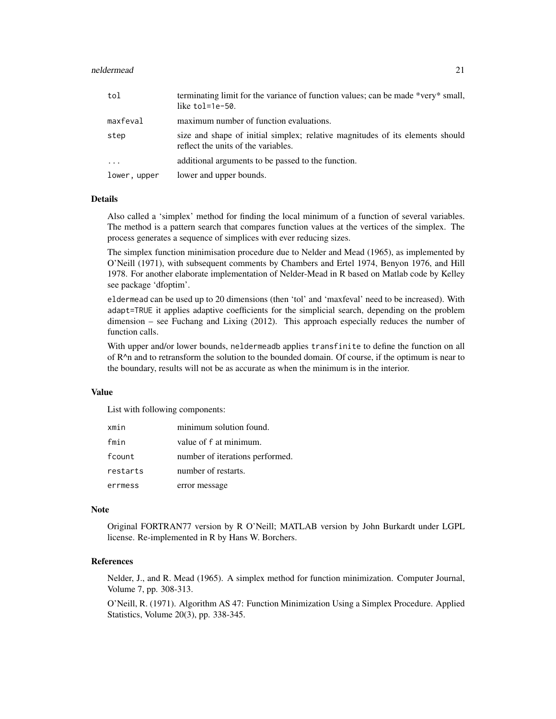#### neldermead 21

| tol                     | terminating limit for the variance of function values; can be made *very* small,<br>like $tol=1e-50$ .               |
|-------------------------|----------------------------------------------------------------------------------------------------------------------|
| maxfeval                | maximum number of function evaluations.                                                                              |
| step                    | size and shape of initial simplex; relative magnitudes of its elements should<br>reflect the units of the variables. |
| $\cdot$ $\cdot$ $\cdot$ | additional arguments to be passed to the function.                                                                   |
| lower, upper            | lower and upper bounds.                                                                                              |

# Details

Also called a 'simplex' method for finding the local minimum of a function of several variables. The method is a pattern search that compares function values at the vertices of the simplex. The process generates a sequence of simplices with ever reducing sizes.

The simplex function minimisation procedure due to Nelder and Mead (1965), as implemented by O'Neill (1971), with subsequent comments by Chambers and Ertel 1974, Benyon 1976, and Hill 1978. For another elaborate implementation of Nelder-Mead in R based on Matlab code by Kelley see package 'dfoptim'.

eldermead can be used up to 20 dimensions (then 'tol' and 'maxfeval' need to be increased). With adapt=TRUE it applies adaptive coefficients for the simplicial search, depending on the problem dimension – see Fuchang and Lixing (2012). This approach especially reduces the number of function calls.

With upper and/or lower bounds, neldermeadb applies transfinite to define the function on all of  $R^n$  and to retransform the solution to the bounded domain. Of course, if the optimum is near to the boundary, results will not be as accurate as when the minimum is in the interior.

#### Value

List with following components:

| xmin     | minimum solution found.         |
|----------|---------------------------------|
| fmin     | value of f at minimum.          |
| fcount   | number of iterations performed. |
| restarts | number of restarts.             |
| errmess  | error message                   |

#### Note

Original FORTRAN77 version by R O'Neill; MATLAB version by John Burkardt under LGPL license. Re-implemented in R by Hans W. Borchers.

# References

Nelder, J., and R. Mead (1965). A simplex method for function minimization. Computer Journal, Volume 7, pp. 308-313.

O'Neill, R. (1971). Algorithm AS 47: Function Minimization Using a Simplex Procedure. Applied Statistics, Volume 20(3), pp. 338-345.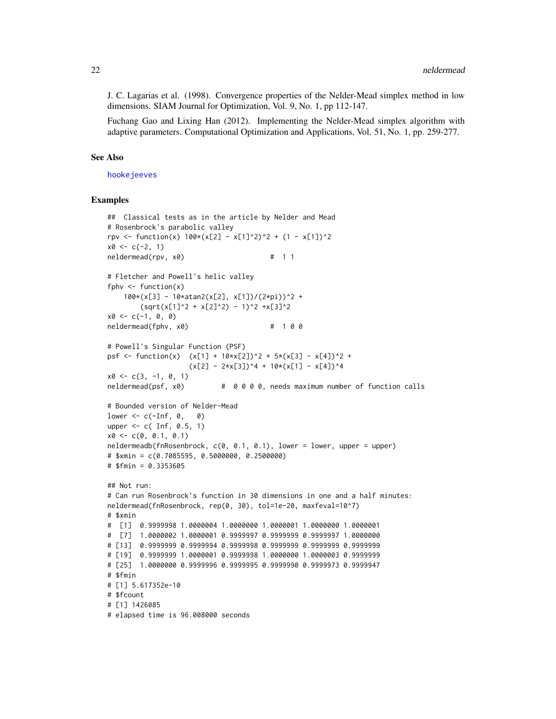<span id="page-21-0"></span>J. C. Lagarias et al. (1998). Convergence properties of the Nelder-Mead simplex method in low dimensions. SIAM Journal for Optimization, Vol. 9, No. 1, pp 112-147.

Fuchang Gao and Lixing Han (2012). Implementing the Nelder-Mead simplex algorithm with adaptive parameters. Computational Optimization and Applications, Vol. 51, No. 1, pp. 259-277.

#### See Also

[hookejeeves](#page-9-1)

```
## Classical tests as in the article by Nelder and Mead
# Rosenbrock's parabolic valley
rpv <- function(x) 100*(x[2] - x[1]^2)^2 + (1 - x[1])^2x0 \leq c(-2, 1)neldermead(rpv, x0) # 1 1
# Fletcher and Powell's helic valley
fphv \leq function(x)
    100*(x[3] - 10*atan2(x[2], x[1])/(2*pi))^2 +(sqrt(x[1]^2 + x[2]^2) - 1)^2 + x[3]^2x0 \leq -c(-1, 0, 0)neldermead(fphv, x0) # 100
# Powell's Singular Function (PSF)
psf <- function(x) (x[1] + 10*x[2])^2 + 5*(x[3] - x[4])^2 +(x[2] - 2*x[3])^4 + 10*(x[1] - x[4])^4x0 \leq -c(3, -1, 0, 1)neldermead(psf, x0) # 0 0 0 0, needs maximum number of function calls
# Bounded version of Nelder-Mead
lower \leq -c(-\text{Inf}, \theta, \theta)upper \leq -c( Inf, 0.5, 1)
x0 \leq -c(0, 0.1, 0.1)neldermeadb(fnRosenbrock, c(0, 0.1, 0.1), lower = lower, upper = upper)
# $xmin = c(0.7085595, 0.5000000, 0.2500000)
# $fmin = 0.3353605
## Not run:
# Can run Rosenbrock's function in 30 dimensions in one and a half minutes:
neldermead(fnRosenbrock, rep(0, 30), tol=1e-20, maxfeval=10^7)
# $xmin
# [1] 0.9999998 1.0000004 1.0000000 1.0000001 1.0000000 1.0000001
# [7] 1.0000002 1.0000001 0.9999997 0.9999999 0.9999997 1.0000000
# [13] 0.9999999 0.9999994 0.9999998 0.9999999 0.9999999 0.9999999
# [19] 0.9999999 1.0000001 0.9999998 1.0000000 1.0000003 0.9999999
# [25] 1.0000000 0.9999996 0.9999995 0.9999990 0.9999973 0.9999947
# $fmin
# [1] 5.617352e-10
# $fcount
# [1] 1426085
# elapsed time is 96.008000 seconds
```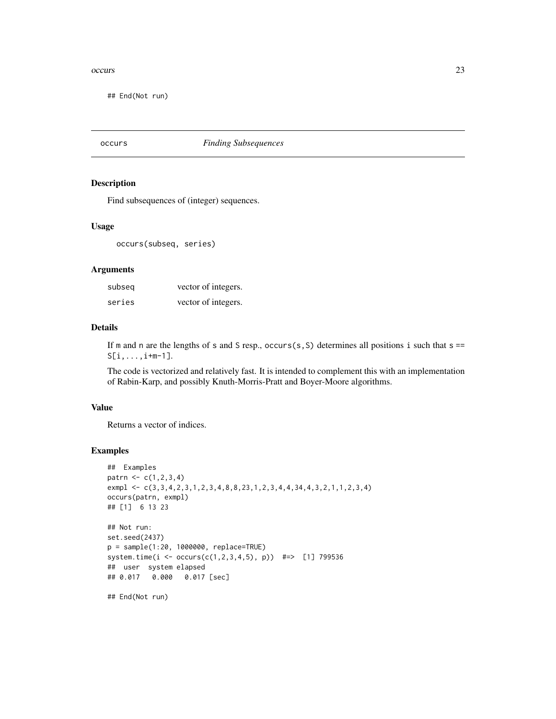#### <span id="page-22-0"></span>occurs 23

## End(Not run)

occurs *Finding Subsequences*

# Description

Find subsequences of (integer) sequences.

#### Usage

occurs(subseq, series)

# Arguments

| subseq | vector of integers. |
|--------|---------------------|
| series | vector of integers. |

# Details

If m and n are the lengths of s and S resp., occurs(s, S) determines all positions i such that  $s =$  $S[i,...,i+m-1].$ 

The code is vectorized and relatively fast. It is intended to complement this with an implementation of Rabin-Karp, and possibly Knuth-Morris-Pratt and Boyer-Moore algorithms.

# Value

Returns a vector of indices.

```
## Examples
patrn <- c(1,2,3,4)
exmpl <- c(3,3,4,2,3,1,2,3,4,8,8,23,1,2,3,4,4,34,4,3,2,1,1,2,3,4)
occurs(patrn, exmpl)
## [1] 6 13 23
## Not run:
set.seed(2437)
p = sample(1:20, 1000000, replace=TRUE)
system.time(i <- occurs(c(1,2,3,4,5), p)) #=> [1] 799536
## user system elapsed
## 0.017 0.000 0.017 [sec]
## End(Not run)
```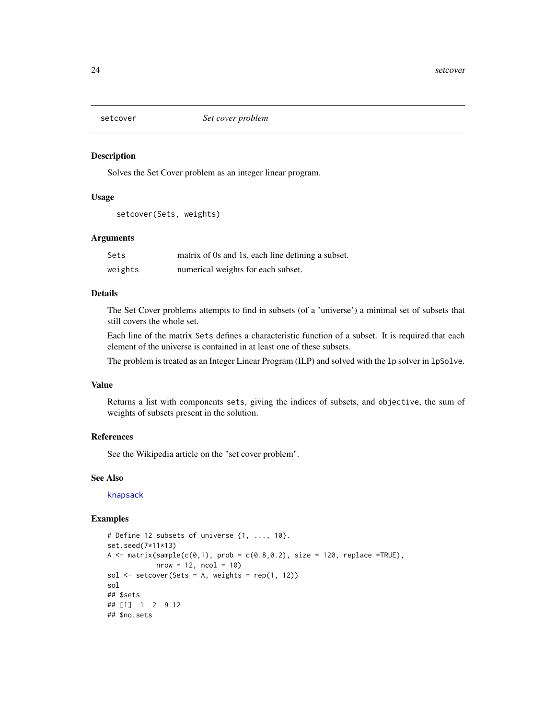<span id="page-23-0"></span>

# Description

Solves the Set Cover problem as an integer linear program.

### Usage

```
setcover(Sets, weights)
```
# Arguments

| Sets    | matrix of 0s and 1s, each line defining a subset. |
|---------|---------------------------------------------------|
| weights | numerical weights for each subset.                |

# Details

The Set Cover problems attempts to find in subsets (of a 'universe') a minimal set of subsets that still covers the whole set.

Each line of the matrix Sets defines a characteristic function of a subset. It is required that each element of the universe is contained in at least one of these subsets.

The problem is treated as an Integer Linear Program (ILP) and solved with the lp solver in lpSolve.

# Value

Returns a list with components sets, giving the indices of subsets, and objective, the sum of weights of subsets present in the solution.

#### References

See the Wikipedia article on the "set cover problem".

# See Also

[knapsack](#page-11-1)

```
# Define 12 subsets of universe {1, ..., 10}.
set.seed(7*11*13)
A \le matrix(sample(c(0,1), prob = c(0.8,0.2), size = 120, replace =TRUE),
            nrow = 12, ncol = 10sol \le setcover(Sets = A, weights = rep(1, 12))
sol
## $sets
## [1] 1 2 9 12
## $no.sets
```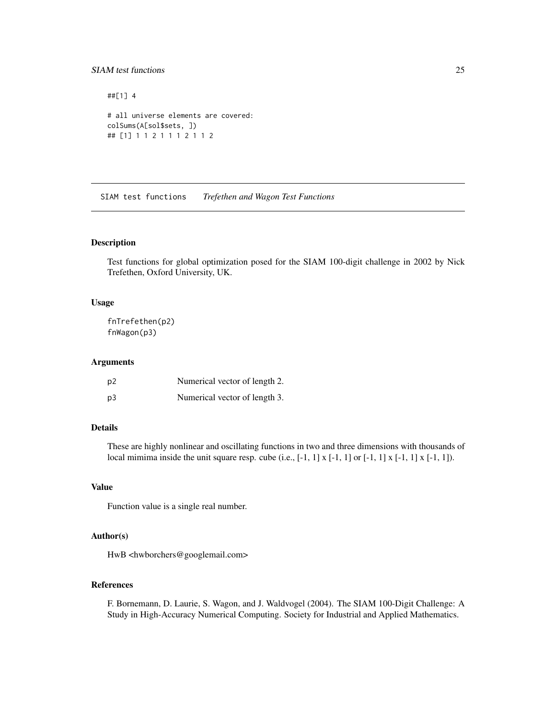# <span id="page-24-0"></span>SIAM test functions 25

```
##[1] 4
# all universe elements are covered:
colSums(A[sol$sets, ])
## [1] 1 1 2 1 1 1 2 1 1 2
```
SIAM test functions *Trefethen and Wagon Test Functions*

# Description

Test functions for global optimization posed for the SIAM 100-digit challenge in 2002 by Nick Trefethen, Oxford University, UK.

# Usage

fnTrefethen(p2) fnWagon(p3)

#### Arguments

| p <sub>2</sub> | Numerical vector of length 2. |
|----------------|-------------------------------|
| p <sub>3</sub> | Numerical vector of length 3. |

# Details

These are highly nonlinear and oscillating functions in two and three dimensions with thousands of local mimima inside the unit square resp. cube (i.e.,  $[-1, 1] \times [-1, 1]$  or  $[-1, 1] \times [-1, 1] \times [-1, 1]$ ).

# Value

Function value is a single real number.

# Author(s)

HwB <hwborchers@googlemail.com>

# References

F. Bornemann, D. Laurie, S. Wagon, and J. Waldvogel (2004). The SIAM 100-Digit Challenge: A Study in High-Accuracy Numerical Computing. Society for Industrial and Applied Mathematics.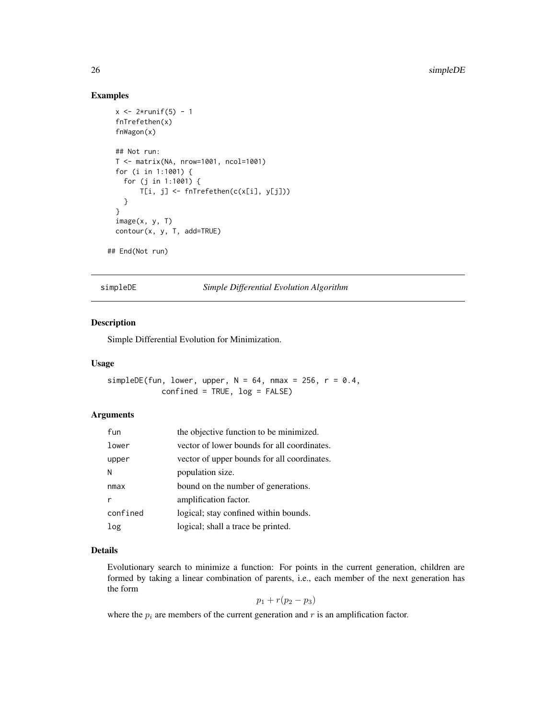# Examples

```
x < -2*runif(5) - 1
 fnTrefethen(x)
 fnWagon(x)
 ## Not run:
 T <- matrix(NA, nrow=1001, ncol=1001)
 for (i in 1:1001) {
   for (j in 1:1001) {
       T[i, j] <- fnTrefethen(c(x[i], y[j]))
   }
 }
 image(x, y, T)
 contour(x, y, T, add=TRUE)
## End(Not run)
```
simpleDE *Simple Differential Evolution Algorithm*

# Description

Simple Differential Evolution for Minimization.

#### Usage

simpleDE(fun, lower, upper,  $N = 64$ , nmax = 256,  $r = 0.4$ , confined = TRUE, log = FALSE)

# Arguments

| fun      | the objective function to be minimized.     |
|----------|---------------------------------------------|
| lower    | vector of lower bounds for all coordinates. |
| upper    | vector of upper bounds for all coordinates. |
| N        | population size.                            |
| nmax     | bound on the number of generations.         |
|          | amplification factor.                       |
| confined | logical; stay confined within bounds.       |
| log      | logical; shall a trace be printed.          |

#### Details

Evolutionary search to minimize a function: For points in the current generation, children are formed by taking a linear combination of parents, i.e., each member of the next generation has the form

$$
p_1 + r(p_2 - p_3)
$$

where the  $p_i$  are members of the current generation and r is an amplification factor.

<span id="page-25-0"></span>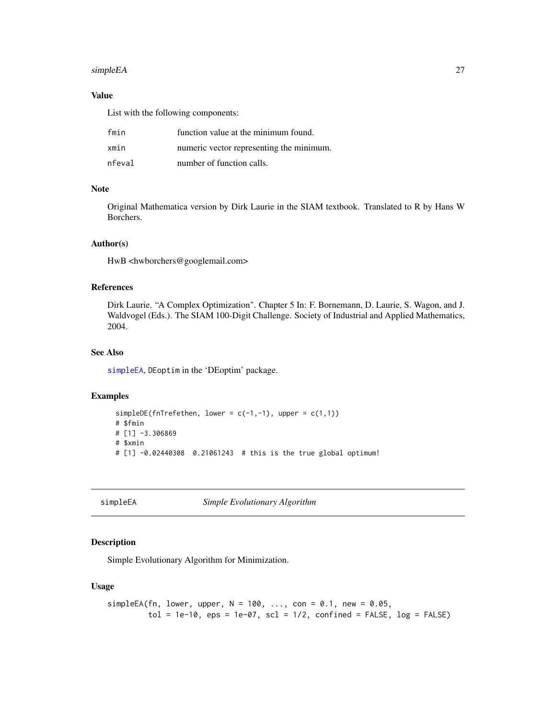#### <span id="page-26-0"></span>simpleEA 27

# Value

List with the following components:

| fmin   | function value at the minimum found.     |
|--------|------------------------------------------|
| xmin   | numeric vector representing the minimum. |
| nfeval | number of function calls.                |

# Note

Original Mathematica version by Dirk Laurie in the SIAM textbook. Translated to R by Hans W Borchers.

# Author(s)

HwB <hwborchers@googlemail.com>

### References

Dirk Laurie. "A Complex Optimization". Chapter 5 In: F. Bornemann, D. Laurie, S. Wagon, and J. Waldvogel (Eds.). The SIAM 100-Digit Challenge. Society of Industrial and Applied Mathematics, 2004.

# See Also

[simpleEA](#page-26-1), DEoptim in the 'DEoptim' package.

#### Examples

```
simpleDE(fnTrefethen, lower = c(-1,-1), upper = c(1,1))
# $fmin
# [1] -3.306869
# $xmin
# [1] -0.02440308 0.21061243 # this is the true global optimum!
```
<span id="page-26-1"></span>simpleEA *Simple Evolutionary Algorithm*

# Description

Simple Evolutionary Algorithm for Minimization.

# Usage

```
simpleEA(fn, lower, upper, N = 100, ..., con = 0.1, new = 0.05,
        tol = 1e-10, eps = 1e-07, scl = 1/2, confined = FALSE, log = FALSE)
```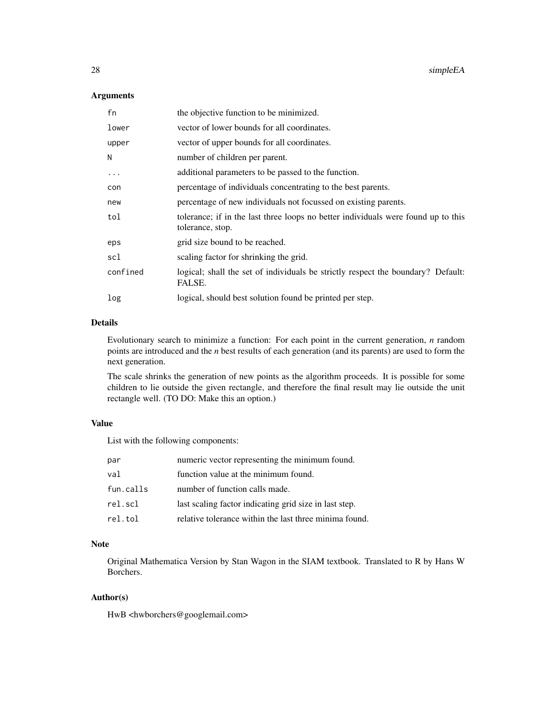# Arguments

| the objective function to be minimized.                                                               |
|-------------------------------------------------------------------------------------------------------|
| vector of lower bounds for all coordinates.                                                           |
| vector of upper bounds for all coordinates.                                                           |
| number of children per parent.                                                                        |
| additional parameters to be passed to the function.                                                   |
| percentage of individuals concentrating to the best parents.                                          |
| percentage of new individuals not focussed on existing parents.                                       |
| tolerance; if in the last three loops no better individuals were found up to this<br>tolerance, stop. |
| grid size bound to be reached.                                                                        |
| scaling factor for shrinking the grid.                                                                |
| logical; shall the set of individuals be strictly respect the boundary? Default:<br>FALSE.            |
| logical, should best solution found be printed per step.                                              |
|                                                                                                       |

# Details

Evolutionary search to minimize a function: For each point in the current generation, *n* random points are introduced and the *n* best results of each generation (and its parents) are used to form the next generation.

The scale shrinks the generation of new points as the algorithm proceeds. It is possible for some children to lie outside the given rectangle, and therefore the final result may lie outside the unit rectangle well. (TO DO: Make this an option.)

# Value

List with the following components:

| par       | numeric vector representing the minimum found.         |
|-----------|--------------------------------------------------------|
| val       | function value at the minimum found.                   |
| fun.calls | number of function calls made.                         |
| rel.scl   | last scaling factor indicating grid size in last step. |
| rel.tol   | relative tolerance within the last three minima found. |

# Note

Original Mathematica Version by Stan Wagon in the SIAM textbook. Translated to R by Hans W Borchers.

# Author(s)

HwB <hwborchers@googlemail.com>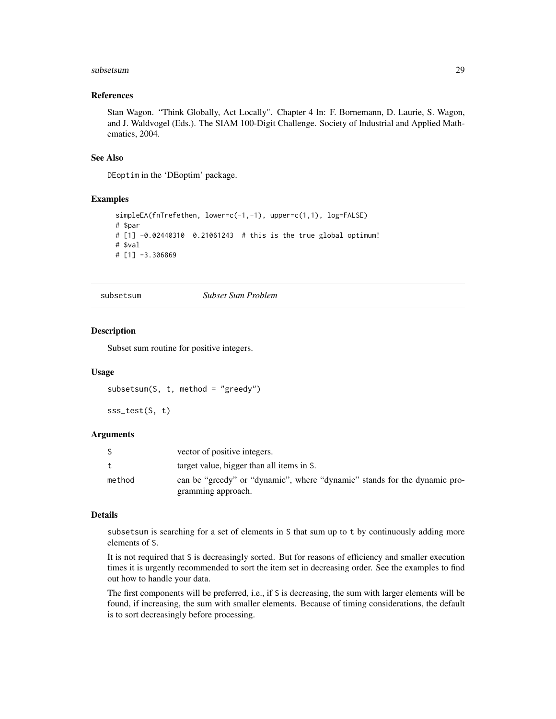#### <span id="page-28-0"></span>subsetsum 29

# References

Stan Wagon. "Think Globally, Act Locally". Chapter 4 In: F. Bornemann, D. Laurie, S. Wagon, and J. Waldvogel (Eds.). The SIAM 100-Digit Challenge. Society of Industrial and Applied Mathematics, 2004.

#### See Also

DEoptim in the 'DEoptim' package.

# Examples

```
simpleEA(fnTrefethen, lower=c(-1,-1), upper=c(1,1), log=FALSE)
# $par
# [1] -0.02440310 0.21061243 # this is the true global optimum!
# $val
# [1] -3.306869
```
subsetsum *Subset Sum Problem*

#### Description

Subset sum routine for positive integers.

# Usage

```
subsetsum(S, t, method = "greedy")
```

```
sss_test(S, t)
```
# Arguments

|        | vector of positive integers.                                                                    |
|--------|-------------------------------------------------------------------------------------------------|
|        | target value, bigger than all items in S.                                                       |
| method | can be "greedy" or "dynamic", where "dynamic" stands for the dynamic pro-<br>gramming approach. |

# Details

subsetsum is searching for a set of elements in S that sum up to t by continuously adding more elements of S.

It is not required that S is decreasingly sorted. But for reasons of efficiency and smaller execution times it is urgently recommended to sort the item set in decreasing order. See the examples to find out how to handle your data.

The first components will be preferred, i.e., if S is decreasing, the sum with larger elements will be found, if increasing, the sum with smaller elements. Because of timing considerations, the default is to sort decreasingly before processing.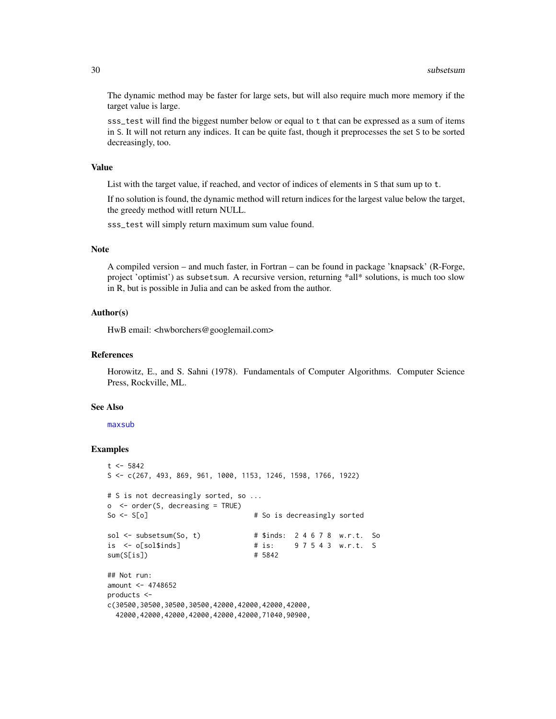The dynamic method may be faster for large sets, but will also require much more memory if the target value is large.

sss\_test will find the biggest number below or equal to t that can be expressed as a sum of items in S. It will not return any indices. It can be quite fast, though it preprocesses the set S to be sorted decreasingly, too.

# Value

List with the target value, if reached, and vector of indices of elements in S that sum up to t.

If no solution is found, the dynamic method will return indices for the largest value below the target, the greedy method witll return NULL.

sss\_test will simply return maximum sum value found.

# Note

A compiled version – and much faster, in Fortran – can be found in package 'knapsack' (R-Forge, project 'optimist') as subsetsum. A recursive version, returning \*all\* solutions, is much too slow in R, but is possible in Julia and can be asked from the author.

# Author(s)

HwB email: <hwborchers@googlemail.com>

#### References

Horowitz, E., and S. Sahni (1978). Fundamentals of Computer Algorithms. Computer Science Press, Rockville, ML.

#### See Also

[maxsub](#page-15-1)

```
t < -5842S <- c(267, 493, 869, 961, 1000, 1153, 1246, 1598, 1766, 1922)
# S is not decreasingly sorted, so ...
o <- order(S, decreasing = TRUE)
So <- S[o] # So is decreasingly sorted
sol \le subsetsum(So, t) # $inds: 2 4 6 7 8 w.r.t. So
is <- o[sol$inds] # is: 9 7 5 4 3 w.r.t. S
sum(S[is]) \qquad # 5842
## Not run:
amount <-4748652products <-
c(30500,30500,30500,30500,42000,42000,42000,42000,
 42000,42000,42000,42000,42000,42000,71040,90900,
```
<span id="page-29-0"></span>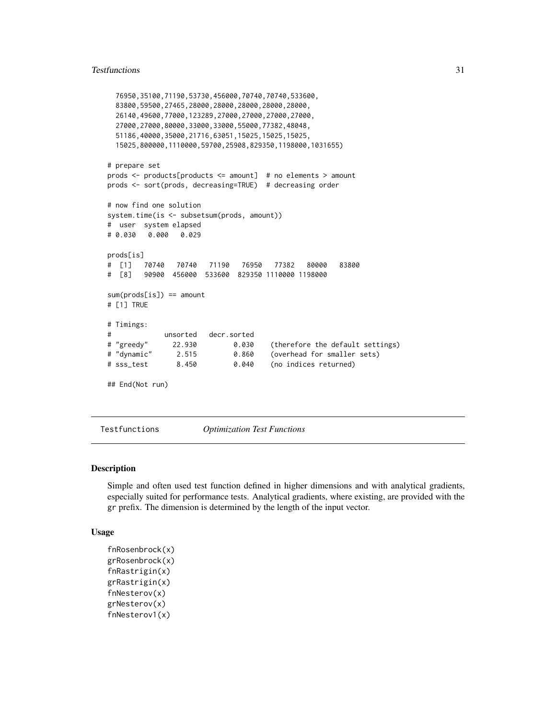#### <span id="page-30-0"></span>Testfunctions 31

```
76950,35100,71190,53730,456000,70740,70740,533600,
 83800,59500,27465,28000,28000,28000,28000,28000,
 26140,49600,77000,123289,27000,27000,27000,27000,
 27000,27000,80000,33000,33000,55000,77382,48048,
 51186,40000,35000,21716,63051,15025,15025,15025,
 15025,800000,1110000,59700,25908,829350,1198000,1031655)
# prepare set
prods <- products[products <= amount] # no elements > amount
prods <- sort(prods, decreasing=TRUE) # decreasing order
# now find one solution
system.time(is <- subsetsum(prods, amount))
# user system elapsed
# 0.030 0.000 0.029
prods[is]
# [1] 70740 70740 71190 76950 77382 80000 83800
# [8] 90900 456000 533600 829350 1110000 1198000
sum(prods[is]) == amount
# [1] TRUE
# Timings:
# unsorted decr.sorted
# "greedy" 22.930 0.030 (therefore the default settings)
# "dynamic" 2.515 0.860 (overhead for smaller sets)
# sss_test 8.450 0.040 (no indices returned)
## End(Not run)
```
Testfunctions *Optimization Test Functions*

#### Description

Simple and often used test function defined in higher dimensions and with analytical gradients, especially suited for performance tests. Analytical gradients, where existing, are provided with the gr prefix. The dimension is determined by the length of the input vector.

#### Usage

```
fnRosenbrock(x)
grRosenbrock(x)
fnRastrigin(x)
grRastrigin(x)
fnNesterov(x)
grNesterov(x)
fnNesterov1(x)
```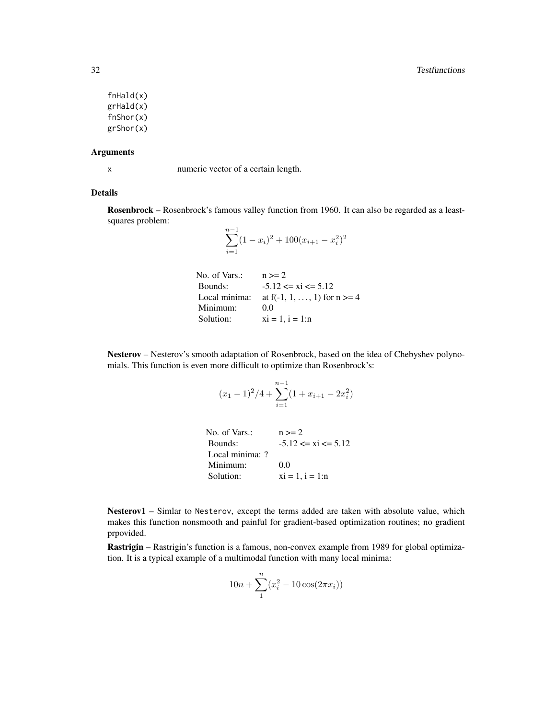fnHald(x) grHald(x) fnShor(x) grShor(x)

#### Arguments

x numeric vector of a certain length.

#### Details

Rosenbrock – Rosenbrock's famous valley function from 1960. It can also be regarded as a leastsquares problem:

$$
\sum_{i=1}^{n-1} (1 - x_i)^2 + 100(x_{i+1} - x_i^2)^2
$$

```
No. of Vars.: n >= 2Bounds: -5.12 \le xi \le 5.12Local minima: at f(-1, 1, \ldots, 1) for n \ge 4Minimum: 0.0Solution: xi = 1, i = 1:n
```
Nesterov – Nesterov's smooth adaptation of Rosenbrock, based on the idea of Chebyshev polynomials. This function is even more difficult to optimize than Rosenbrock's:

$$
(x_1 - 1)^2/4 + \sum_{i=1}^{n-1} (1 + x_{i+1} - 2x_i^2)
$$

| No. of Vars.:   | $n >= 2$                |
|-----------------|-------------------------|
| Bounds:         | $-5.12 \le xi \le 5.12$ |
| Local minima: ? |                         |
| Minimum:        | 0.0                     |
| Solution:       | $xi = 1, i = 1:n$       |

Nesterov1 – Simlar to Nesterov, except the terms added are taken with absolute value, which makes this function nonsmooth and painful for gradient-based optimization routines; no gradient prpovided.

Rastrigin – Rastrigin's function is a famous, non-convex example from 1989 for global optimization. It is a typical example of a multimodal function with many local minima:

$$
10n + \sum_{1}^{n} (x_i^2 - 10\cos(2\pi x_i))
$$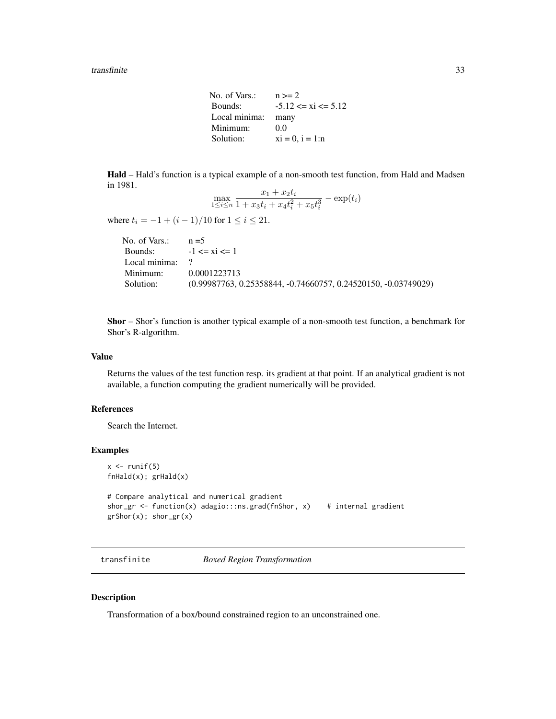#### <span id="page-32-0"></span>transfinite 33

| No. of Vars.: | $n >= 2$                |
|---------------|-------------------------|
| Bounds:       | $-5.12 \le xi \le 5.12$ |
| Local minima: | many                    |
| Minimum:      | 0.0                     |
| Solution:     | $xi = 0$ , $i = 1:n$    |

Hald – Hald's function is a typical example of a non-smooth test function, from Hald and Madsen in 1981.

$$
\max_{1 \le i \le n} \frac{x_1 + x_2 t_i}{1 + x_3 t_i + x_4 t_i^2 + x_5 t_i^3} - \exp(t_i)
$$

where  $t_i = -1 + (i - 1)/10$  for  $1 \le i \le 21$ .

| No. of Vars.: $n=5$                                              |
|------------------------------------------------------------------|
| Bounds: $-1 \le xi \le 1$                                        |
| Local minima: $\frac{1}{2}$                                      |
| 0.0001223713                                                     |
| $(0.99987763, 0.25358844, -0.74660757, 0.24520150, -0.03749029)$ |
|                                                                  |

Shor – Shor's function is another typical example of a non-smooth test function, a benchmark for Shor's R-algorithm.

#### Value

Returns the values of the test function resp. its gradient at that point. If an analytical gradient is not available, a function computing the gradient numerically will be provided.

# References

Search the Internet.

### Examples

```
x \leftarrow runif(5)fnHald(x); grHald(x)
# Compare analytical and numerical gradient
shor_gr <- function(x) adagio:::ns.grad(fnShor, x) # internal gradient
grShor(x); shor_gr(x)
```
transfinite *Boxed Region Transformation*

# Description

Transformation of a box/bound constrained region to an unconstrained one.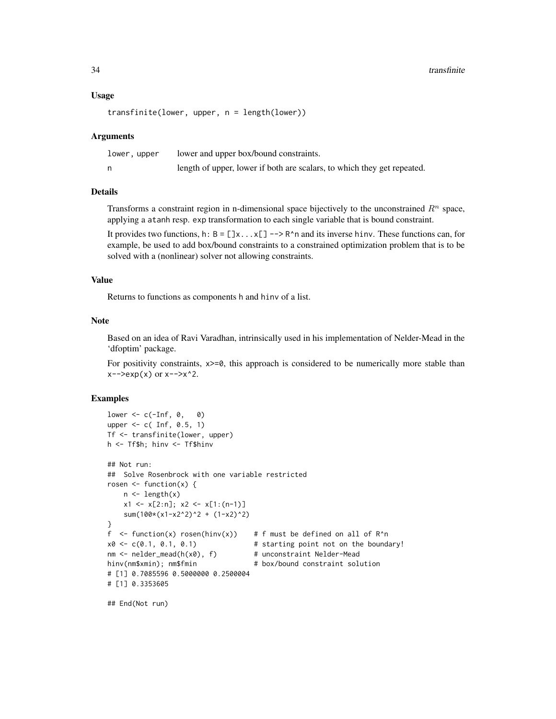#### Usage

```
transfinite(lower, upper, n = length(lower))
```
#### Arguments

| lower, upper | lower and upper box/bound constraints.                                  |
|--------------|-------------------------------------------------------------------------|
|              | length of upper, lower if both are scalars, to which they get repeated. |

#### Details

Transforms a constraint region in n-dimensional space bijectively to the unconstrained  $R<sup>n</sup>$  space, applying a atanh resp. exp transformation to each single variable that is bound constraint.

It provides two functions, h:  $B = []x...x[] - > R^n$  and its inverse hinv. These functions can, for example, be used to add box/bound constraints to a constrained optimization problem that is to be solved with a (nonlinear) solver not allowing constraints.

# Value

Returns to functions as components h and hinv of a list.

## **Note**

Based on an idea of Ravi Varadhan, intrinsically used in his implementation of Nelder-Mead in the 'dfoptim' package.

For positivity constraints,  $x \ge 0$ , this approach is considered to be numerically more stable than  $x \rightarrow -\text{exp}(x) \text{ or } x \rightarrow -\text{exp}(2)$ .

#### Examples

```
lower \leq c(-Inf, 0, 0)
upper \leq c( Inf, 0.5, 1)
Tf <- transfinite(lower, upper)
h <- Tf$h; hinv <- Tf$hinv
## Not run:
## Solve Rosenbrock with one variable restricted
rosen \leq function(x) {
   n \leftarrow length(x)x1 <- x[2:n]; x2 <- x[1:(n-1)]
   sum(100*(x1-x2^2)^2 + (1-x2)^2)
}
f \le function(x) rosen(hinv(x)) # f must be defined on all of R^n
x0 \leq c(0.1, 0.1, 0.1) # starting point not on the boundary!
nm \le nelder_mead(h(x0), f) # unconstraint Nelder-Mead
hinv(nm$xmin); nm$fmin # box/bound constraint solution
# [1] 0.7085596 0.5000000 0.2500004
# [1] 0.3353605
```
## End(Not run)